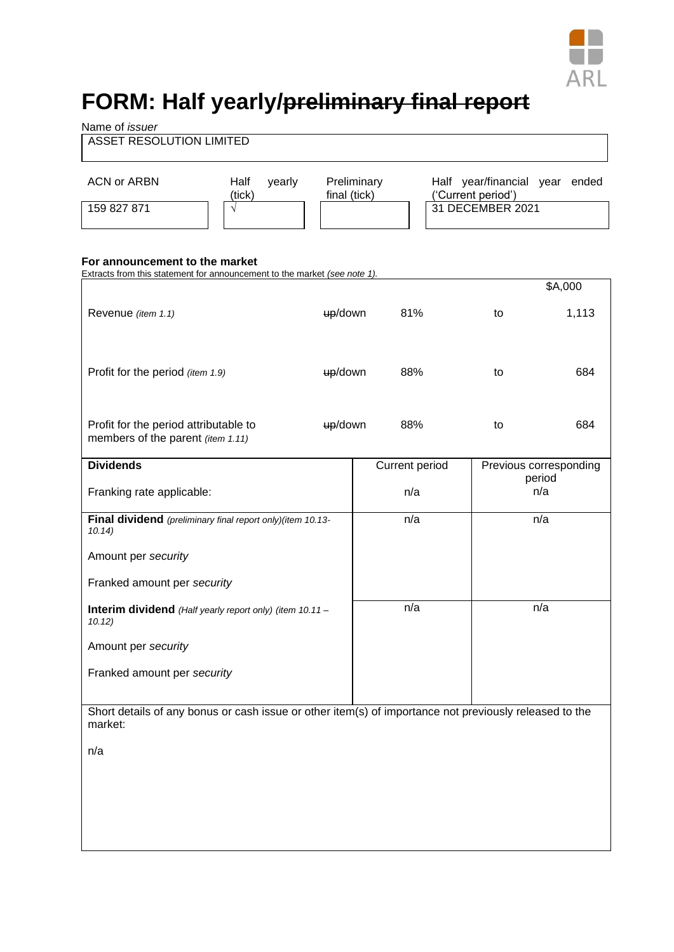

# **FORM: Half yearly/preliminary final report**

Name of *issuer*

# ASSET RESOLUTION LIMITED

| ACN or ARBN | Half<br>vearlv<br>(tick) | Preliminary<br>final (tick) | year/financial year<br>Half<br>ended<br>('Current period') |
|-------------|--------------------------|-----------------------------|------------------------------------------------------------|
| 159 827 871 |                          |                             | 31 DECEMBER 2021                                           |

#### **For announcement to the market**

Extracts from this statement for announcement to the market *(see note 1).* \$A,000 Revenue *(item 1.1)* up/down 81% to 1,113 Profit for the period *(item 1.9)* **up/down** 88% to 684 Profit for the period attributable to members of the parent *(item 1.11)* up/down 88% to 684 **Dividends** Franking rate applicable: Current period n/a Previous corresponding period n/a **Final dividend** *(preliminary final report only)(item 10.13- 10.14)* Amount per *security* Franked amount per *security* **Interim dividend** *(Half yearly report only) (item 10.11 – 10.12)* Amount per *security* Franked amount per *security* n/a n/a n/a n/a Short details of any bonus or cash issue or other item(s) of importance not previously released to the market:

n/a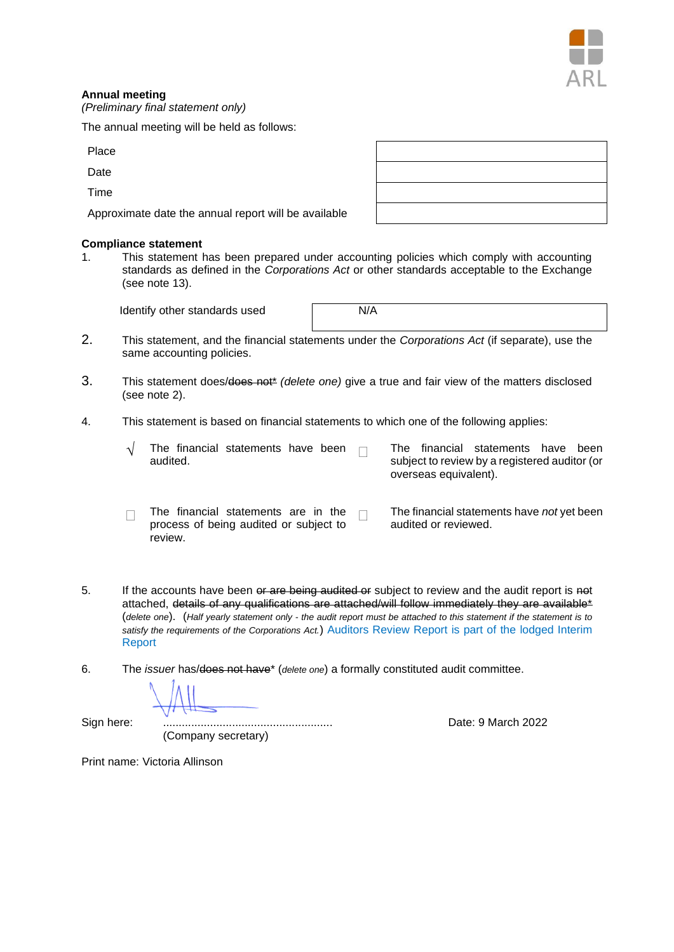

# **Annual meeting**

*(Preliminary final statement only)*

The annual meeting will be held as follows:

Place

**Date** 

Time

Approximate date the annual report will be available

#### **Compliance statement**

1. This statement has been prepared under accounting policies which comply with accounting standards as defined in the *Corporations Act* or other standards acceptable to the Exchange (see note 13).

Identify other standards used  $N/A$ 

- 2. This statement, and the financial statements under the *Corporations Act* (if separate), use the same accounting policies.
- 3. This statement does/does not\* *(delete one)* give a true and fair view of the matters disclosed (see note 2).
- 4. This statement is based on financial statements to which one of the following applies:
	- $\sqrt{\phantom{a}}$  The financial statements have been  $\Box$ <br>audited. The financial statements have been subject to review by a registered auditor (or overseas equivalent).
	- $\Box$ The financial statements are in the process of being audited or subject to review.  $\Box$ The financial statements have *not* yet been audited or reviewed.
- 5. If the accounts have been or are being audited or subject to review and the audit report is not attached, details of any qualifications are attached/will follow immediately they are available\* (*delete one*). (*Half yearly statement only - the audit report must be attached to this statement if the statement is to satisfy the requirements of the Corporations Act.*) Auditors Review Report is part of the lodged Interim Report
- 6. The *issuer* has/does not have\* (*delete one*) a formally constituted audit committee.

(Company secretary)

Sign here: ...................................................... Date: 9 March 2022

Print name: Victoria Allinson